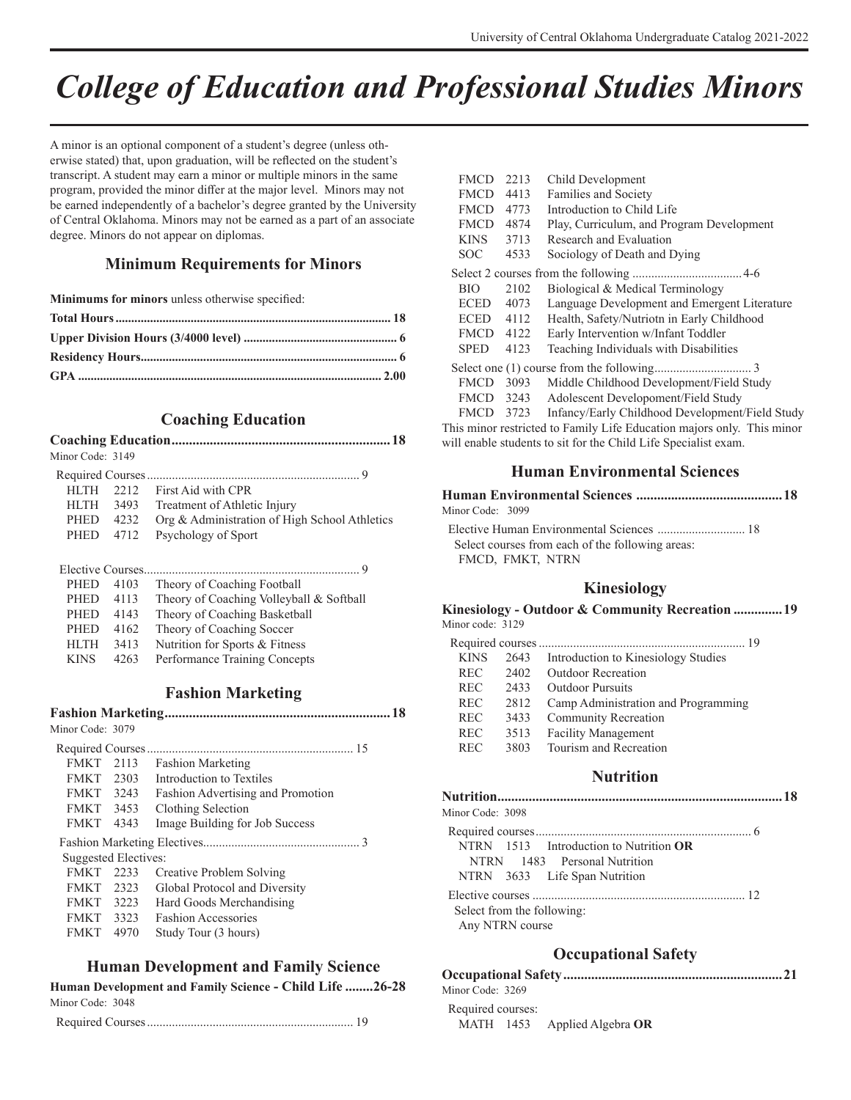# *College of Education and Professional Studies Minors*

A minor is an optional component of a student's degree (unless otherwise stated) that, upon graduation, will be reflected on the student's transcript. A student may earn a minor or multiple minors in the same program, provided the minor differ at the major level. Minors may not be earned independently of a bachelor's degree granted by the University of Central Oklahoma. Minors may not be earned as a part of an associate degree. Minors do not appear on diplomas.

## **Minimum Requirements for Minors**

**Minimums for minors** unless otherwise specified:

# **Coaching Education**

| Minor Code: 3149 |  |
|------------------|--|

|           | HLTH 2212 First Aid with CPR                  |
|-----------|-----------------------------------------------|
|           | HLTH 3493 Treatment of Athletic Injury        |
| PHED 4232 | Org & Administration of High School Athletics |
|           | PHED 4712 Psychology of Sport                 |
|           |                                               |

| <b>PHED</b> | 4103  | Theory of Coaching Football              |
|-------------|-------|------------------------------------------|
| PHED        | 4113  | Theory of Coaching Volleyball & Softball |
| PHED        | 4143  | Theory of Coaching Basketball            |
| PHED        | 4162  | Theory of Coaching Soccer                |
| <b>HITH</b> | 3413  | Nutrition for Sports & Fitness           |
| <b>KINS</b> | 42.63 | Performance Training Concepts            |

|                      |      | <b>Fashion Marketing</b>          |
|----------------------|------|-----------------------------------|
|                      |      |                                   |
| Minor Code: 3079     |      |                                   |
|                      |      |                                   |
| FMKT 2113            |      | <b>Fashion Marketing</b>          |
| FMKT 2303            |      | Introduction to Textiles          |
| FMKT 3243            |      | Fashion Advertising and Promotion |
| FMKT 3453            |      | Clothing Selection                |
| <b>FMKT</b>          | 4343 | Image Building for Job Success    |
|                      |      |                                   |
| Suggested Electives: |      |                                   |
| <b>FMKT</b> 2233     |      | Creative Problem Solving          |
| FMKT 2323            |      | Global Protocol and Diversity     |
| FMKT 3223            |      | Hard Goods Merchandising          |
| FMKT 3323            |      | <b>Fashion Accessories</b>        |
| <b>FMKT</b>          | 4970 | Study Tour (3 hours)              |
|                      |      |                                   |

# **Human Development and Family Science**

| Human Development and Family Science - Child Life 26-28 |  |
|---------------------------------------------------------|--|
| Minor Code: 3048                                        |  |

|--|

| <b>FMCD</b> | 2213 | Child Development                                                      |
|-------------|------|------------------------------------------------------------------------|
| <b>FMCD</b> | 4413 | Families and Society                                                   |
| <b>FMCD</b> | 4773 | Introduction to Child Life                                             |
| <b>FMCD</b> | 4874 | Play, Curriculum, and Program Development                              |
| <b>KINS</b> | 3713 | Research and Evaluation                                                |
| SOC         | 4533 | Sociology of Death and Dying                                           |
|             |      |                                                                        |
| <b>BIO</b>  | 2102 | Biological & Medical Terminology                                       |
| <b>ECED</b> | 4073 | Language Development and Emergent Literature                           |
| ECED        | 4112 | Health, Safety/Nutriotn in Early Childhood                             |
| <b>FMCD</b> | 4122 | Early Intervention w/Infant Toddler                                    |
| <b>SPED</b> | 4123 | Teaching Individuals with Disabilities                                 |
|             |      |                                                                        |
| <b>FMCD</b> | 3093 | Middle Childhood Development/Field Study                               |
| FMCD        | 3243 | Adolescent Developoment/Field Study                                    |
| <b>FMCD</b> | 3723 | Infancy/Early Childhood Development/Field Study                        |
|             |      | This minor restricted to Family Life Education majors only. This minor |
|             |      | will enable students to sit for the Child Life Specialist exam.        |

# **Human Environmental Sciences**

#### **Human Environmental Sciences ..........................................18**

Minor Code: 3099

 Elective Human Environmental Sciences ............................ 18 Select courses from each of the following areas: FMCD, FMKT, NTRN

# **Kinesiology**

| Minor code: 3129 |      | Kinesiology - Outdoor & Community Recreation 19 |
|------------------|------|-------------------------------------------------|
|                  |      |                                                 |
| <b>KINS</b>      | 2643 | Introduction to Kinesiology Studies             |
| <b>REC</b>       | 2402 | Outdoor Recreation                              |
| <b>REC</b>       | 2433 | <b>Outdoor Pursuits</b>                         |
| <b>REC</b>       | 2812 | Camp Administration and Programming             |
| <b>REC</b>       | 3433 | Community Recreation                            |
| <b>REC</b>       | 3513 | <b>Facility Management</b>                      |
| <b>REC</b>       | 3803 | Tourism and Recreation                          |

#### **Nutrition**

| Minor Code: 3098                                                                                        |  |
|---------------------------------------------------------------------------------------------------------|--|
| NTRN 1513 Introduction to Nutrition OR<br>NTRN 1483 Personal Nutrition<br>NTRN 3633 Life Span Nutrition |  |
| Select from the following:<br>Any NTRN course                                                           |  |

# **Occupational Safety**

| MATH $1453$ Applied Algebra OR |
|--------------------------------|
|                                |